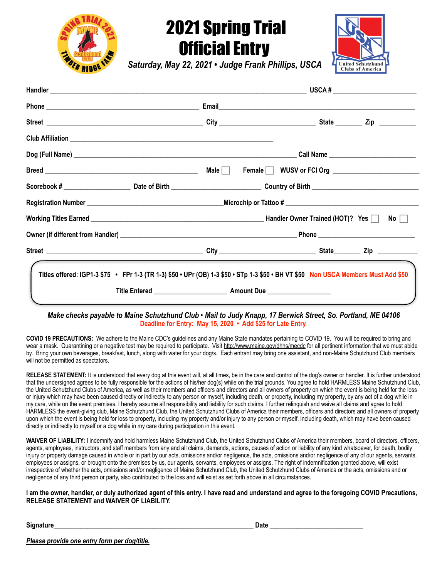

## 2021 Spring Trial Official Entry



*Saturday, May 22, 2021 • Judge Frank Phillips, USCA* 

| Titles offered: IGP1-3 \$75 • FPr 1-3 (TR 1-3) \$50 • UPr (OB) 1-3 \$50 • STp 1-3 \$50 • BH VT \$50 Non USCA Members Must Add \$50 |  |  |  |  |  |  |
|------------------------------------------------------------------------------------------------------------------------------------|--|--|--|--|--|--|
|                                                                                                                                    |  |  |  |  |  |  |

*Make checks payable to Maine Schutzhund Club • Mail to Judy Knapp, 17 Berwick Street, So. Portland, ME 04106* **Deadline for Entry: May 15, 2020 • Add \$25 for Late Entry**

**COVID 19 PRECAUTIONS:** We adhere to the Maine CDC's guidelines and any Maine State mandates pertaining to COVID 19. You will be required to bring and wear a mask. Quarantining or a negative test may be required to participate. Visit <http://www.maine.gov/dhhs/mecdc>for all pertinent information that we must abide by. Bring your own beverages, breakfast, lunch, along with water for your dog/s. Each entrant may bring one assistant, and non-Maine Schutzhund Club members will not be permitted as spectators.

RELEASE STATEMENT: It is understood that every dog at this event will, at all times, be in the care and control of the dog's owner or handler. It is further understood that the undersigned agrees to be fully responsible for the actions of his/her dog(s) while on the trial grounds. You agree to hold HARMLESS Maine Schutzhund Club, the United Schutzhund Clubs of America, as well as their members and officers and directors and all owners of property on which the event is being held for the loss or injury which may have been caused directly or indirectly to any person or myself, including death, or property, including my property, by any act of a dog while in my care, while on the event premises. I hereby assume all responsibility and liability for such claims. I further relinquish and waive all claims and agree to hold HARMLESS the event-giving club, Maine Schutzhund Club, the United Schutzhund Clubs of America their members, officers and directors and all owners of property upon which the event is being held for loss to property, including my property and/or injury to any person or myself, including death, which may have been caused directly or indirectly to myself or a dog while in my care during participation in this event.

**WAIVER OF LIABILITY:** I indemnify and hold harmless Maine Schutzhund Club, the United Schutzhund Clubs of America their members, board of directors, officers, agents, employees, instructors, and staff members from any and all claims, demands, actions, causes of action or liability of any kind whatsoever, for death, bodily injury or property damage caused in whole or in part by our acts, omissions and/or negligence, the acts, omissions and/or negligence of any of our agents, servants, employees or assigns, or brought onto the premises by us, our agents, servants, employees or assigns. The right of indemnification granted above, will exist irrespective of whether the acts, omissions and/or negligence of Maine Schutzhund Club, the United Schutzhund Clubs of America or the acts, omissions and or negligence of any third person or party, also contributed to the loss and will exist as set forth above in all circumstances.

**I am the owner, handler, or duly authorized agent of this entry. I have read and understand and agree to the foregoing COVID Precautions, RELEASE STATEMENT and WAIVER OF LIABILITY.**

**Signature\_\_\_\_\_\_\_\_\_\_\_\_\_\_\_\_\_\_\_\_\_\_\_\_\_\_\_\_\_\_\_\_\_\_\_\_\_\_\_\_\_\_\_\_\_\_\_\_\_\_\_\_\_\_\_\_\_\_\_\_ Date \_\_\_\_\_\_\_\_\_\_\_\_\_\_\_\_\_\_\_\_\_\_\_\_\_\_\_\_** 

*Please provide one entry form per dog/title.*